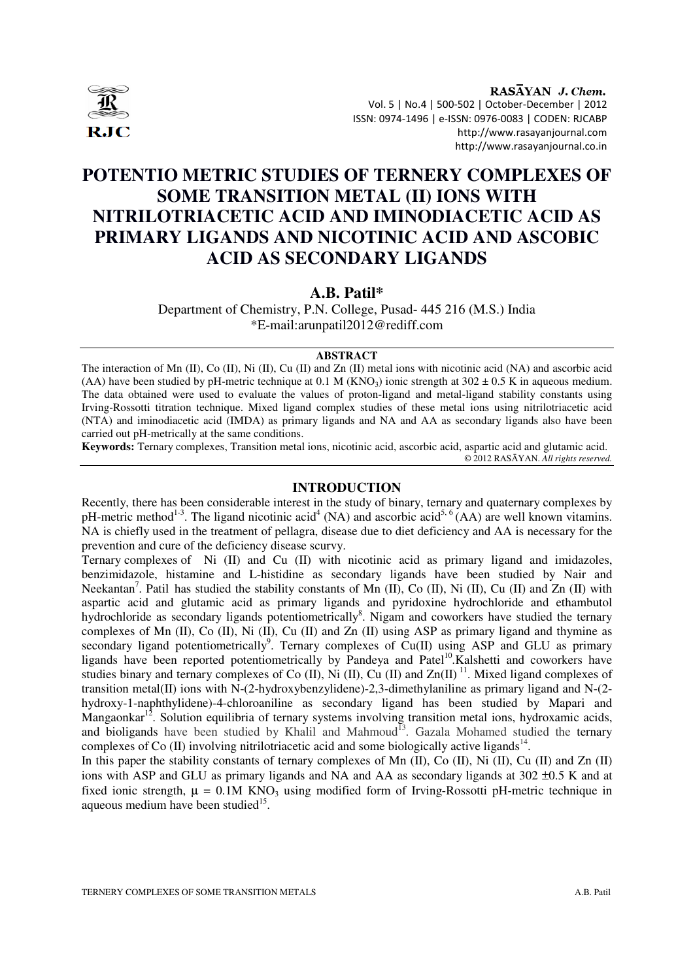

RASAYAN J. Chem. Vol. 5 | No.4 | 500-502 | October-December | 2012 ISSN: 0974-1496 | e-ISSN: 0976-0083 | CODEN: RJCABP http://www.rasayanjournal.com http://www.rasayanjournal.co.in

# **POTENTIO METRIC STUDIES OF TERNERY COMPLEXES OF SOME TRANSITION METAL (II) IONS WITH NITRILOTRIACETIC ACID AND IMINODIACETIC ACID AS PRIMARY LIGANDS AND NICOTINIC ACID AND ASCOBIC ACID AS SECONDARY LIGANDS**

**A.B. Patil\*** 

Department of Chemistry, P.N. College, Pusad- 445 216 (M.S.) India \*E-mail:arunpatil2012@rediff.com

## **ABSTRACT**

The interaction of Mn (II), Co (II), Ni (II), Cu (II) and Zn (II) metal ions with nicotinic acid (NA) and ascorbic acid (AA) have been studied by pH-metric technique at 0.1 M (KNO<sub>3</sub>) ionic strength at 302  $\pm$  0.5 K in aqueous medium. The data obtained were used to evaluate the values of proton-ligand and metal-ligand stability constants using Irving-Rossotti titration technique. Mixed ligand complex studies of these metal ions using nitrilotriacetic acid (NTA) and iminodiacetic acid (IMDA) as primary ligands and NA and AA as secondary ligands also have been carried out pH-metrically at the same conditions.

**Keywords:** Ternary complexes, Transition metal ions, nicotinic acid, ascorbic acid, aspartic acid and glutamic acid. © 2012 RASĀYAN. *All rights reserved.*

## **INTRODUCTION**

Recently, there has been considerable interest in the study of binary, ternary and quaternary complexes by pH-metric method<sup>1-3</sup>. The ligand nicotinic acid<sup>4</sup> (NA) and ascorbic acid<sup>5, 6</sup> (AA) are well known vitamins. NA is chiefly used in the treatment of pellagra, disease due to diet deficiency and AA is necessary for the prevention and cure of the deficiency disease scurvy.

Ternary complexes of Ni (II) and Cu (II) with nicotinic acid as primary ligand and imidazoles, benzimidazole, histamine and L-histidine as secondary ligands have been studied by Nair and Neekantan<sup>7</sup>. Patil has studied the stability constants of Mn (II), Co (II), Ni (II), Cu (II) and Zn (II) with aspartic acid and glutamic acid as primary ligands and pyridoxine hydrochloride and ethambutol hydrochloride as secondary ligands potentiometrically<sup>8</sup>. Nigam and coworkers have studied the ternary complexes of Mn (II), Co (II), Ni (II), Cu (II) and Zn (II) using ASP as primary ligand and thymine as secondary ligand potentiometrically<sup>9</sup>. Ternary complexes of  $Cu(II)$  using ASP and GLU as primary ligands have been reported potentiometrically by Pandeya and Patel<sup>10</sup>.Kalshetti and coworkers have studies binary and ternary complexes of Co  $(II)$ , Ni  $(II)$ , Cu  $(II)$  and Zn $(II)$ <sup>11</sup>. Mixed ligand complexes of transition metal(II) ions with N-(2-hydroxybenzylidene)-2,3-dimethylaniline as primary ligand and N-(2 hydroxy-1-naphthylidene)-4-chloroaniline as secondary ligand has been studied by Mapari and Mangaonkar<sup>12</sup>. Solution equilibria of ternary systems involving transition metal ions, hydroxamic acids, and bioligands have been studied by Khalil and Mahmoud<sup>13</sup>. Gazala Mohamed studied the ternary complexes of Co  $(II)$  involving nitrilotriacetic acid and some biologically active ligands<sup>14</sup>.

In this paper the stability constants of ternary complexes of Mn (II), Co (II), Ni (II), Cu (II) and Zn (II) ions with ASP and GLU as primary ligands and NA and AA as secondary ligands at 302 ±0.5 K and at fixed ionic strength,  $\mu = 0.1M$  KNO<sub>3</sub> using modified form of Irving-Rossotti pH-metric technique in aqueous medium have been studied<sup>15</sup>.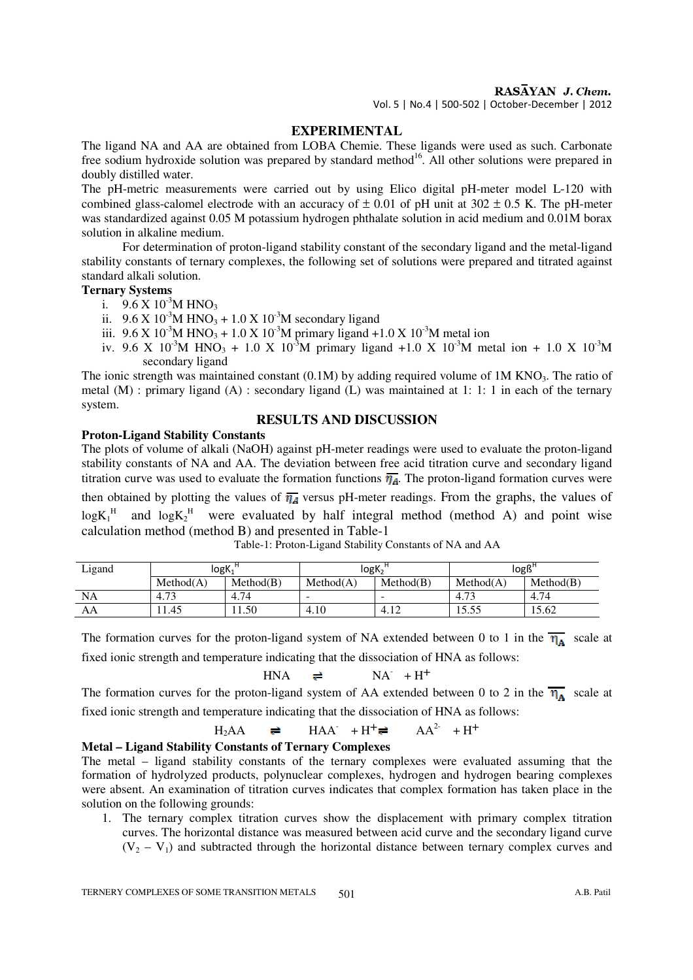RASAYAN J. Chem.

Vol. 5 | No.4 | 500-502 | October-December | 2012

## **EXPERIMENTAL**

The ligand NA and AA are obtained from LOBA Chemie. These ligands were used as such. Carbonate free sodium hydroxide solution was prepared by standard method<sup>16</sup>. All other solutions were prepared in doubly distilled water.

The pH-metric measurements were carried out by using Elico digital pH-meter model L-120 with combined glass-calomel electrode with an accuracy of  $\pm$  0.01 of pH unit at 302  $\pm$  0.5 K. The pH-meter was standardized against 0.05 M potassium hydrogen phthalate solution in acid medium and 0.01M borax solution in alkaline medium.

 For determination of proton-ligand stability constant of the secondary ligand and the metal-ligand stability constants of ternary complexes, the following set of solutions were prepared and titrated against standard alkali solution.

### **Ternary Systems**

- i.  $9.6 \text{ X } 10^{-3} \text{M HNO}_3$
- ii.  $9.6 \text{ X } 10^{-3} \text{M HNO}_3 + 1.0 \text{ X } 10^{-3} \text{M secondary ligand}$
- iii.  $9.6 \times 10^{-3}$ M HNO<sub>3</sub> + 1.0 X 10<sup>-3</sup>M primary ligand +1.0 X 10<sup>-3</sup>M metal ion
- iv. 9.6 X 10<sup>-3</sup>M HNO<sub>3</sub> + 1.0 X 10<sup>-3</sup>M primary ligand +1.0 X 10<sup>-3</sup>M metal ion + 1.0 X 10<sup>-3</sup>M secondary ligand

The ionic strength was maintained constant (0.1M) by adding required volume of 1M KNO<sub>3</sub>. The ratio of metal (M) : primary ligand (A) : secondary ligand (L) was maintained at 1: 1: 1 in each of the ternary system.

## **RESULTS AND DISCUSSION**

**Proton-Ligand Stability Constants**  The plots of volume of alkali (NaOH) against pH-meter readings were used to evaluate the proton-ligand stability constants of NA and AA. The deviation between free acid titration curve and secondary ligand titration curve was used to evaluate the formation functions  $\overline{\eta_A}$ . The proton-ligand formation curves were then obtained by plotting the values of  $\overline{\eta_A}$  versus pH-meter readings. From the graphs, the values of  $logK_1^H$  and  $logK_2^H$  were evaluated by half integral method (method A) and point wise calculation method (method B) and presented in Table-1

| Ligand    | logK.      |           | $log K_2$ |                        | $log B^{\sim}$         |           |  |
|-----------|------------|-----------|-----------|------------------------|------------------------|-----------|--|
|           | Method(A)  | Method(B) | Method(A) | Method(B)              | Method(A)              | Method(B) |  |
| <b>NA</b> | 72<br>4.73 | 4.74      | -         | -                      | $\overline{a}$<br>4.13 | 4.74      |  |
| ΑA        | 1.45       | 1.50      | 4.10      | 1 <sup>2</sup><br>4.12 | 13.JJ                  | 15.62     |  |

Table-1: Proton-Ligand Stability Constants of NA and AA

The formation curves for the proton-ligand system of NA extended between 0 to 1 in the  $\overline{\eta_A}$  scale at fixed ionic strength and temperature indicating that the dissociation of HNA as follows:

$$
HNA \quad \rightleftharpoons \quad NA \quad +H^+
$$

The formation curves for the proton-ligand system of AA extended between 0 to 2 in the  $\overline{\eta_A}$  scale at fixed ionic strength and temperature indicating that the dissociation of HNA as follows:

$$
H_2AA \quad \rightleftharpoons \quad HAA^{\cdot} + H^{+} \rightleftharpoons \quad AA^{2} + H^{+}
$$

### **Metal – Ligand Stability Constants of Ternary Complexes**

The metal – ligand stability constants of the ternary complexes were evaluated assuming that the formation of hydrolyzed products, polynuclear complexes, hydrogen and hydrogen bearing complexes were absent. An examination of titration curves indicates that complex formation has taken place in the solution on the following grounds:

1. The ternary complex titration curves show the displacement with primary complex titration curves. The horizontal distance was measured between acid curve and the secondary ligand curve  $(V_2 - V_1)$  and subtracted through the horizontal distance between ternary complex curves and